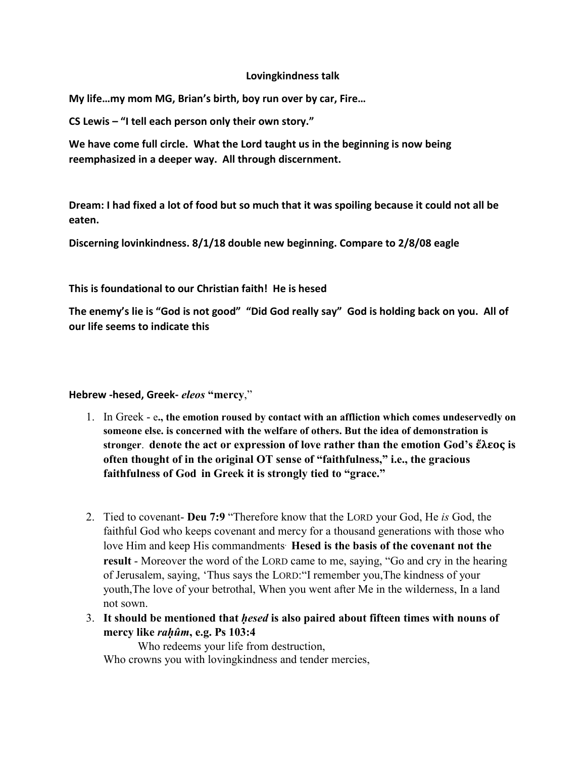#### **Lovingkindness talk**

**My life…my mom MG, Brian's birth, boy run over by car, Fire…**

**CS Lewis – "I tell each person only their own story."**

**We have come full circle. What the Lord taught us in the beginning is now being reemphasized in a deeper way. All through discernment.**

**Dream: I had fixed a lot of food but so much that it was spoiling because it could not all be eaten.**

**Discerning lovinkindness. 8/1/18 double new beginning. Compare to 2/8/08 eagle**

**This is foundational to our Christian faith! He is hesed**

**The enemy's lie is "God is not good" "Did God really say" God is holding back on you. All of our life seems to indicate this**

**Hebrew -hesed, Greek-** *eleos* **"mercy**,"

- 1. In Greek e**., the emotion roused by contact with an affliction which comes undeservedly on someone else. is concerned with the welfare of others. But the idea of demonstration is stronger**. **denote the act or expression of love rather than the emotion God's ἔλεος is often thought of in the original OT sense of "faithfulness," i.e., the gracious faithfulness of God in Greek it is strongly tied to "grace."**
- 2. Tied to covenant- **Deu 7:9** "Therefore know that the LORD your God, He *is* God, the faithful God who keeps covenant and mercy for a thousand generations with those who love Him and keep His commandments. **Hesed is the basis of the covenant not the result** - Moreover the word of the LORD came to me, saying, "Go and cry in the hearing of Jerusalem, saying, 'Thus says the LORD:"I remember you,The kindness of your youth,The love of your betrothal, When you went after Me in the wilderness, In a land not sown.
- 3. **It should be mentioned that** *ḥesed* **is also paired about fifteen times with nouns of mercy like** *raḥûm***, e.g. Ps 103:4**

Who redeems your life from destruction,

Who crowns you with loving kindness and tender mercies,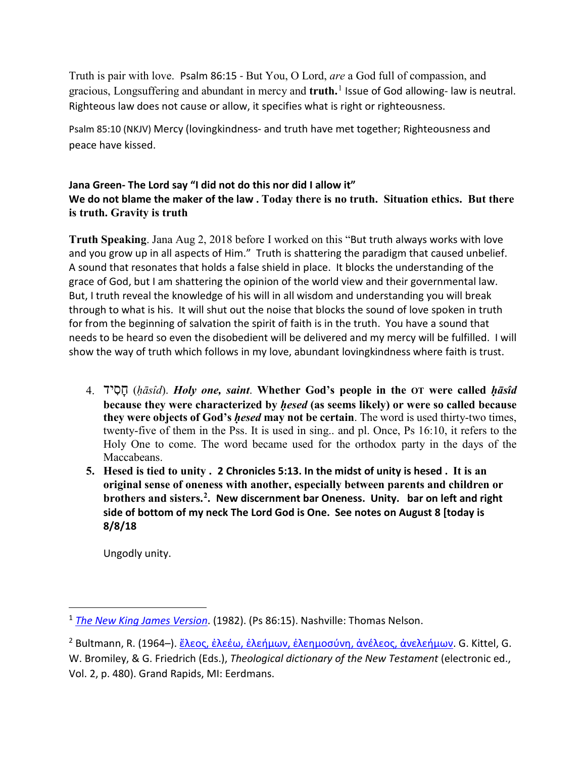Truth is pair with love. Psalm 86:15 - But You, O Lord, *are* a God full of compassion, and gracious, Longsuffering and abundant in mercy and **truth.**[1](#page-1-0) Issue of God allowing- law is neutral. Righteous law does not cause or allow, it specifies what is right or righteousness.

Psalm 85:10 (NKJV) Mercy (lovingkindness- and truth have met together; Righteousness and peace have kissed.

### **Jana Green- The Lord say "I did not do this nor did I allow it" We do not blame the maker of the law . Today there is no truth. Situation ethics. But there is truth. Gravity is truth**

**Truth Speaking**. Jana Aug 2, 2018 before I worked on this "But truth always works with love and you grow up in all aspects of Him." Truth is shattering the paradigm that caused unbelief. A sound that resonates that holds a false shield in place. It blocks the understanding of the grace of God, but I am shattering the opinion of the world view and their governmental law. But, I truth reveal the knowledge of his will in all wisdom and understanding you will break through to what is his. It will shut out the noise that blocks the sound of love spoken in truth for from the beginning of salvation the spirit of faith is in the truth. You have a sound that needs to be heard so even the disobedient will be delivered and my mercy will be fulfilled. I will show the way of truth which follows in my love, abundant lovingkindness where faith is trust.

- 4. יד ִס ָח) *ḥāsîd*). *Holy one, saint*. **Whether God's people in the OT were called** *ḥāsîd* **because they were characterized by** *ḥesed* **(as seems likely) or were so called because they were objects of God's** *ḥesed* **may not be certain**. The word is used thirty-two times, twenty-five of them in the Pss. It is used in sing.. and pl. Once, Ps 16:10, it refers to the Holy One to come. The word became used for the orthodox party in the days of the Maccabeans.
- **5. Hesed is tied to unity . 2 Chronicles 5:13. In the midst of unity is hesed . It is an original sense of oneness with another, especially between parents and children or brothers and sisters.[2.](#page-1-1) New discernment bar Oneness. Unity. bar on left and right side of bottom of my neck The Lord God is One. See notes on August 8 [today is 8/8/18**

Ungodly unity.

 $\overline{a}$ 

<span id="page-1-0"></span><sup>1</sup> *[The New King James Version](https://ref.ly/logosres/nkjv?ref=BibleNKJV.Ps86.15&off=3&ctx=You+before+them.%0a15+%7EBut+g%EF%BB%BFYou%2c+O+Lord%2c+a)*. (1982). (Ps 86:15). Nashville: Thomas Nelson.

<span id="page-1-1"></span><sup>&</sup>lt;sup>2</sup> Bultmann, R. (1964–). [ἔλεος, ἐλεέω, ἐλεήμων, ἐλεημοσύνη, ἀνέλεος, ἀνελεήμων](https://ref.ly/logosres/tdnt?ref=biblio.at%3d%E1%BC%94%CE%BB%CE%B5%CE%BF%CF%82%2c%2520%E1%BC%90%CE%BB%CE%B5%CE%AD%CF%89%2c%2520%E1%BC%90%CE%BB%CE%B5%CE%AE%CE%BC%CF%89%CE%BD%2c%2520%E1%BC%90%CE%BB%CE%B5%CE%B7%CE%BC%CE%BF%CF%83%CF%8D%CE%BD%CE%B7%2c%2520%E1%BC%80%CE%BD%CE%AD%CE%BB%CE%B5%CE%BF%CF%82%2c%2520%E1%BC%80%CE%BD%CE%B5%CE%BB%CE%B5%CE%AE%CE%BC%CF%89%CE%BD%7Cau%3dBultmann%2c%2520Rudolf%7Cpg%3d476%E2%80%93487%7Cvo%3d2&off=6625&ctx=th+%CF%86%CE%BF%CC%81%CE%B2%CE%BF%CF%82+or+%CE%BB%CF%85%CC%81%CF%80%CE%B7.+%7EIt+is+an+original+se). G. Kittel, G. W. Bromiley, & G. Friedrich (Eds.), *Theological dictionary of the New Testament* (electronic ed., Vol. 2, p. 480). Grand Rapids, MI: Eerdmans.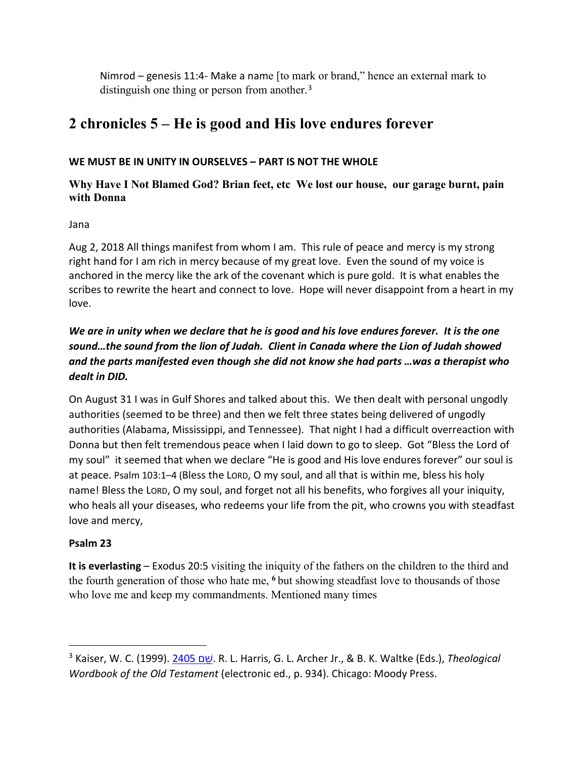Nimrod – genesis 11:4- Make a name [to mark or brand," hence an external mark to distinguish one thing or person from another.<sup>[3](#page-2-0)</sup>

# **2 chronicles 5 – He is good and His love endures forever**

## **WE MUST BE IN UNITY IN OURSELVES – PART IS NOT THE WHOLE**

# **Why Have I Not Blamed God? Brian feet, etc We lost our house, our garage burnt, pain with Donna**

Jana

Aug 2, 2018 All things manifest from whom I am. This rule of peace and mercy is my strong right hand for I am rich in mercy because of my great love. Even the sound of my voice is anchored in the mercy like the ark of the covenant which is pure gold. It is what enables the scribes to rewrite the heart and connect to love. Hope will never disappoint from a heart in my love.

# *We are in unity when we declare that he is good and his love endures forever. It is the one sound…the sound from the lion of Judah. Client in Canada where the Lion of Judah showed and the parts manifested even though she did not know she had parts …was a therapist who dealt in DID.*

On August 31 I was in Gulf Shores and talked about this. We then dealt with personal ungodly authorities (seemed to be three) and then we felt three states being delivered of ungodly authorities (Alabama, Mississippi, and Tennessee). That night I had a difficult overreaction with Donna but then felt tremendous peace when I laid down to go to sleep. Got "Bless the Lord of my soul" it seemed that when we declare "He is good and His love endures forever" our soul is at peace. Psalm 103:1–4 (Bless the LORD, O my soul, and all that is within me, bless his holy name! Bless the LORD, O my soul, and forget not all his benefits, who forgives all your iniquity, who heals all your diseases, who redeems your life from the pit, who crowns you with steadfast love and mercy,

# **Psalm 23**

 $\overline{a}$ 

**It is everlasting** – Exodus 20:5 visiting the iniquity of the fathers on the children to the third and the fourth generation of those who hate me, **<sup>6</sup>**but showing steadfast love to thousands of those who love me and keep my commandments. Mentioned many times

<span id="page-2-0"></span><sup>3</sup> Kaiser, W. C. (1999). [2405](https://ref.ly/logosres/twot?ref=biblio.at%3d2405%2520%D7%A9%D7%81%D6%B5%D7%9D%7Cau%3dKaiser%2c%2520Walter%2520C.%7Ced%3dHarris%2c%2520R.%2520Laird%3b%2520Archer%2c%2520Gleason%2520L.%2c%2520Jr.%3b%2520Waltke%2c%2520Bruce%2520K.&off=571&ctx=he+Arabic+root+ws%CA%BEm+%7E%E2%80%9Cto+mark+or+brand%2c%E2%80%9D+) ם ֵשׁ. R. L. Harris, G. L. Archer Jr., & B. K. Waltke (Eds.), *Theological Wordbook of the Old Testament* (electronic ed., p. 934). Chicago: Moody Press.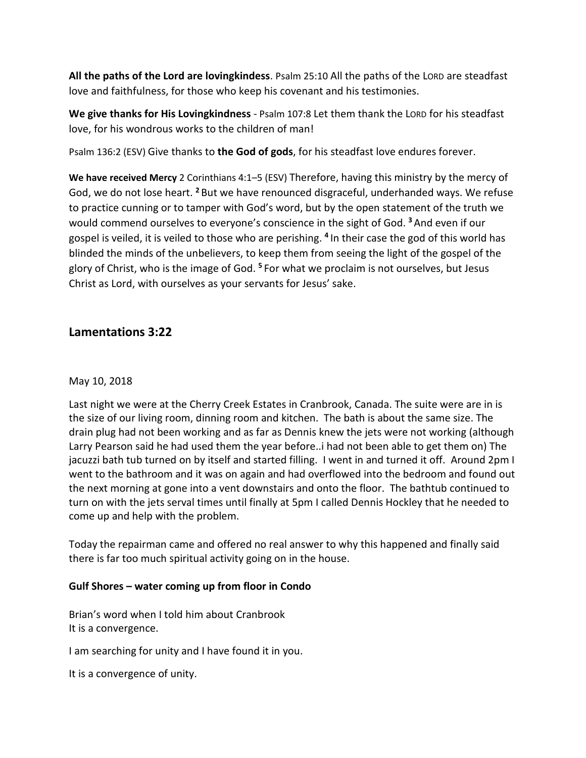**All the paths of the Lord are lovingkindess**. Psalm 25:10 All the paths of the LORD are steadfast love and faithfulness, for those who keep his covenant and his testimonies.

**We give thanks for His Lovingkindness** - Psalm 107:8 Let them thank the LORD for his steadfast love, for his wondrous works to the children of man!

Psalm 136:2 (ESV) Give thanks to **the God of gods**, for his steadfast love endures forever.

**We have received Mercy** 2 Corinthians 4:1–5 (ESV) Therefore, having this ministry by the mercy of God, we do not lose heart. **<sup>2</sup>** But we have renounced disgraceful, underhanded ways. We refuse to practice cunning or to tamper with God's word, but by the open statement of the truth we would commend ourselves to everyone's conscience in the sight of God. **<sup>3</sup>**And even if our gospel is veiled, it is veiled to those who are perishing. **<sup>4</sup>** In their case the god of this world has blinded the minds of the unbelievers, to keep them from seeing the light of the gospel of the glory of Christ, who is the image of God. **<sup>5</sup>** For what we proclaim is not ourselves, but Jesus Christ as Lord, with ourselves as your servants for Jesus' sake.

# **Lamentations 3:22**

### May 10, 2018

Last night we were at the Cherry Creek Estates in Cranbrook, Canada. The suite were are in is the size of our living room, dinning room and kitchen. The bath is about the same size. The drain plug had not been working and as far as Dennis knew the jets were not working (although Larry Pearson said he had used them the year before..i had not been able to get them on) The jacuzzi bath tub turned on by itself and started filling. I went in and turned it off. Around 2pm I went to the bathroom and it was on again and had overflowed into the bedroom and found out the next morning at gone into a vent downstairs and onto the floor. The bathtub continued to turn on with the jets serval times until finally at 5pm I called Dennis Hockley that he needed to come up and help with the problem.

Today the repairman came and offered no real answer to why this happened and finally said there is far too much spiritual activity going on in the house.

### **Gulf Shores – water coming up from floor in Condo**

Brian's word when I told him about Cranbrook It is a convergence.

I am searching for unity and I have found it in you.

It is a convergence of unity.